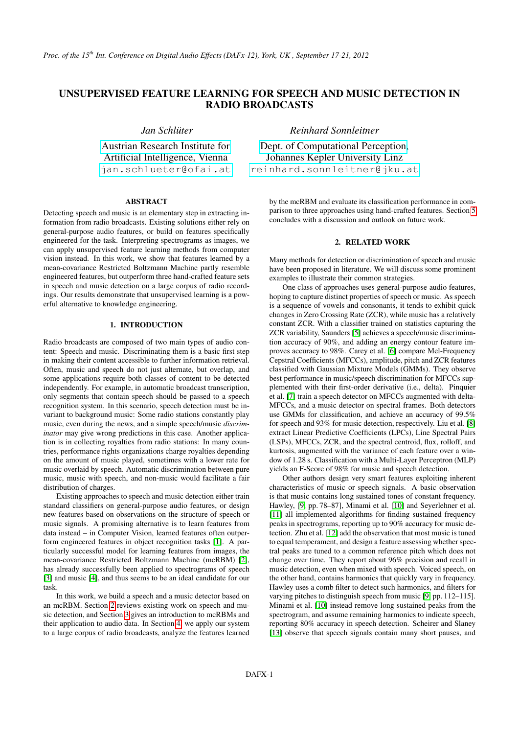# UNSUPERVISED FEATURE LEARNING FOR SPEECH AND MUSIC DETECTION IN RADIO BROADCASTS

*Jan Schlüter*

[Austrian Research Institute for](http://www.ofai.at) Artificial Intelligence, Vienna [jan.schlueter@ofai.at](mailto:jan.schlueter@ofai.at)

# ABSTRACT

Detecting speech and music is an elementary step in extracting information from radio broadcasts. Existing solutions either rely on general-purpose audio features, or build on features specifically engineered for the task. Interpreting spectrograms as images, we can apply unsupervised feature learning methods from computer vision instead. In this work, we show that features learned by a mean-covariance Restricted Boltzmann Machine partly resemble engineered features, but outperform three hand-crafted feature sets in speech and music detection on a large corpus of radio recordings. Our results demonstrate that unsupervised learning is a powerful alternative to knowledge engineering.

# 1. INTRODUCTION

Radio broadcasts are composed of two main types of audio content: Speech and music. Discriminating them is a basic first step in making their content accessible to further information retrieval. Often, music and speech do not just alternate, but overlap, and some applications require both classes of content to be detected independently. For example, in automatic broadcast transcription, only segments that contain speech should be passed to a speech recognition system. In this scenario, speech detection must be invariant to background music: Some radio stations constantly play music, even during the news, and a simple speech/music *discriminator* may give wrong predictions in this case. Another application is in collecting royalties from radio stations: In many countries, performance rights organizations charge royalties depending on the amount of music played, sometimes with a lower rate for music overlaid by speech. Automatic discrimination between pure music, music with speech, and non-music would facilitate a fair distribution of charges.

Existing approaches to speech and music detection either train standard classifiers on general-purpose audio features, or design new features based on observations on the structure of speech or music signals. A promising alternative is to learn features from data instead – in Computer Vision, learned features often outperform engineered features in object recognition tasks [\[1\]](#page-7-0). A particularly successful model for learning features from images, the mean-covariance Restricted Boltzmann Machine (mcRBM) [\[2\]](#page-7-1), has already successfully been applied to spectrograms of speech [\[3\]](#page-7-2) and music [\[4\]](#page-7-3), and thus seems to be an ideal candidate for our task.

In this work, we build a speech and a music detector based on an mcRBM. Section [2](#page-0-0) reviews existing work on speech and music detection, and Section [3](#page-1-0) gives an introduction to mcRBMs and their application to audio data. In Section [4,](#page-3-0) we apply our system to a large corpus of radio broadcasts, analyze the features learned *Reinhard Sonnleitner*

[Dept. of Computational Perception,](http://www.cp.jku.at) Johannes Kepler University Linz [reinhard.sonnleitner@jku.at](mailto:reinhard.sonnleitner@jku.at)

> by the mcRBM and evaluate its classification performance in comparison to three approaches using hand-crafted features. Section [5](#page-5-0) concludes with a discussion and outlook on future work.

# 2. RELATED WORK

<span id="page-0-0"></span>Many methods for detection or discrimination of speech and music have been proposed in literature. We will discuss some prominent examples to illustrate their common strategies.

One class of approaches uses general-purpose audio features, hoping to capture distinct properties of speech or music. As speech is a sequence of vowels and consonants, it tends to exhibit quick changes in Zero Crossing Rate (ZCR), while music has a relatively constant ZCR. With a classifier trained on statistics capturing the ZCR variability, Saunders [\[5\]](#page-7-4) achieves a speech/music discrimination accuracy of 90%, and adding an energy contour feature improves accuracy to 98%. Carey et al. [\[6\]](#page-7-5) compare Mel-Frequency Cepstral Coefficients (MFCCs), amplitude, pitch and ZCR features classified with Gaussian Mixture Models (GMMs). They observe best performance in music/speech discrimination for MFCCs supplemented with their first-order derivative (i.e., delta). Pinquier et al. [\[7\]](#page-7-6) train a speech detector on MFCCs augmented with delta-MFCCs, and a music detector on spectral frames. Both detectors use GMMs for classification, and achieve an accuracy of 99.5% for speech and 93% for music detection, respectively. Liu et al. [\[8\]](#page-7-7) extract Linear Predictive Coefficients (LPCs), Line Spectral Pairs (LSPs), MFCCs, ZCR, and the spectral centroid, flux, rolloff, and kurtosis, augmented with the variance of each feature over a window of 1.28 s. Classification with a Multi-Layer Perceptron (MLP) yields an F-Score of 98% for music and speech detection.

Other authors design very smart features exploiting inherent characteristics of music or speech signals. A basic observation is that music contains long sustained tones of constant frequency. Hawley, [\[9,](#page-7-8) pp. 78–87], Minami et al. [\[10\]](#page-7-9) and Seyerlehner et al. [\[11\]](#page-7-10) all implemented algorithms for finding sustained frequency peaks in spectrograms, reporting up to 90% accuracy for music detection. Zhu et al. [\[12\]](#page-7-11) add the observation that most music is tuned to equal temperament, and design a feature assessing whether spectral peaks are tuned to a common reference pitch which does not change over time. They report about 96% precision and recall in music detection, even when mixed with speech. Voiced speech, on the other hand, contains harmonics that quickly vary in frequency. Hawley uses a comb filter to detect such harmonics, and filters for varying pitches to distinguish speech from music [\[9,](#page-7-8) pp. 112–115]. Minami et al. [\[10\]](#page-7-9) instead remove long sustained peaks from the spectrogram, and assume remaining harmonics to indicate speech, reporting 80% accuracy in speech detection. Scheirer and Slaney [\[13\]](#page-7-12) observe that speech signals contain many short pauses, and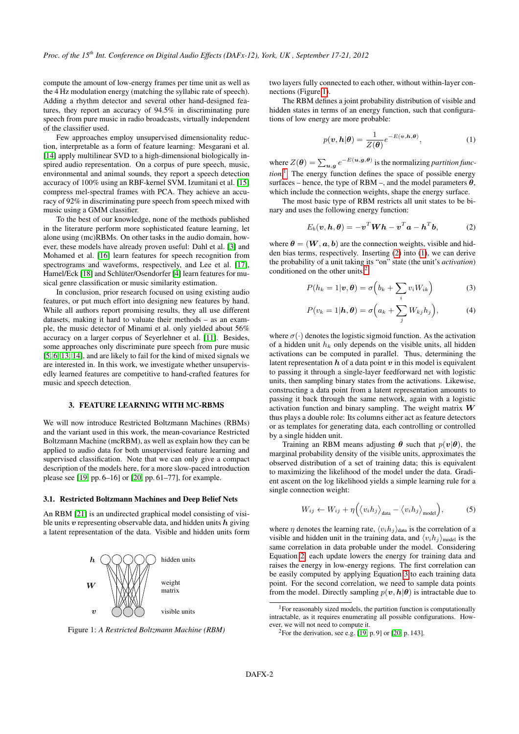compute the amount of low-energy frames per time unit as well as the 4 Hz modulation energy (matching the syllabic rate of speech). Adding a rhythm detector and several other hand-designed features, they report an accuracy of 94.5% in discriminating pure speech from pure music in radio broadcasts, virtually independent of the classifier used.

Few approaches employ unsupervised dimensionality reduction, interpretable as a form of feature learning: Mesgarani et al. [\[14\]](#page-7-13) apply multilinear SVD to a high-dimensional biologically inspired audio representation. On a corpus of pure speech, music, environmental and animal sounds, they report a speech detection accuracy of 100% using an RBF-kernel SVM. Izumitani et al. [\[15\]](#page-7-14) compress mel-spectral frames with PCA. They achieve an accuracy of 92% in discriminating pure speech from speech mixed with music using a GMM classifier.

To the best of our knowledge, none of the methods published in the literature perform more sophisticated feature learning, let alone using (mc)RBMs. On other tasks in the audio domain, however, these models have already proven useful: Dahl et al. [\[3\]](#page-7-2) and Mohamed et al. [\[16\]](#page-7-15) learn features for speech recognition from spectrograms and waveforms, respectively, and Lee et al. [\[17\]](#page-7-16), Hamel/Eck [\[18\]](#page-7-17) and Schlüter/Osendorfer [\[4\]](#page-7-3) learn features for musical genre classification or music similarity estimation.

In conclusion, prior research focused on using existing audio features, or put much effort into designing new features by hand. While all authors report promising results, they all use different datasets, making it hard to valuate their methods – as an example, the music detector of Minami et al. only yielded about 56% accuracy on a larger corpus of Seyerlehner et al. [\[11\]](#page-7-10). Besides, some approaches only discriminate pure speech from pure music [\[5,](#page-7-4) [6,](#page-7-5) [13,](#page-7-12) [14\]](#page-7-13), and are likely to fail for the kind of mixed signals we are interested in. In this work, we investigate whether unsupervisedly learned features are competitive to hand-crafted features for music and speech detection.

## 3. FEATURE LEARNING WITH MC-RBMS

<span id="page-1-0"></span>We will now introduce Restricted Boltzmann Machines (RBMs) and the variant used in this work, the mean-covariance Restricted Boltzmann Machine (mcRBM), as well as explain how they can be applied to audio data for both unsupervised feature learning and supervised classification. Note that we can only give a compact description of the models here, for a more slow-paced introduction please see [\[19,](#page-7-18) pp. 6–16] or [\[20,](#page-7-19) pp. 61–77], for example.

#### <span id="page-1-8"></span>3.1. Restricted Boltzmann Machines and Deep Belief Nets

An RBM [\[21\]](#page-7-20) is an undirected graphical model consisting of visible units  $v$  representing observable data, and hidden units  $h$  giving a latent representation of the data. Visible and hidden units form

<span id="page-1-1"></span>

Figure 1: *A Restricted Boltzmann Machine (RBM)*

two layers fully connected to each other, without within-layer connections (Figure [1\)](#page-1-1).

The RBM defines a joint probability distribution of visible and hidden states in terms of an energy function, such that configurations of low energy are more probable:

<span id="page-1-4"></span>
$$
p(\boldsymbol{v}, \boldsymbol{h}|\boldsymbol{\theta}) = \frac{1}{Z(\boldsymbol{\theta})} e^{-E(\boldsymbol{v}, \boldsymbol{h}, \boldsymbol{\theta})},
$$
(1)

where  $Z(\theta) = \sum_{u,g} e^{-E(u,g,\theta)}$  is the normalizing *partition function*. [1](#page-1-2) The energy function defines the space of possible energy surfaces – hence, the type of RBM –, and the model parameters  $\theta$ , which include the connection weights, shape the energy surface.

The most basic type of RBM restricts all unit states to be binary and uses the following energy function:

<span id="page-1-3"></span>
$$
E_b(\boldsymbol{v}, \boldsymbol{h}, \boldsymbol{\theta}) = -\boldsymbol{v}^T \boldsymbol{W} \boldsymbol{h} - \boldsymbol{v}^T \boldsymbol{a} - \boldsymbol{h}^T \boldsymbol{b}, \qquad (2)
$$

where  $\theta = (W, a, b)$  are the connection weights, visible and hidden bias terms, respectively. Inserting [\(2\)](#page-1-3) into [\(1\)](#page-1-4), we can derive the probability of a unit taking its "on" state (the unit's *activation*) conditioned on the other units:<sup>[2](#page-1-5)</sup>

<span id="page-1-6"></span>
$$
P(h_k = 1|\boldsymbol{v}, \boldsymbol{\theta}) = \sigma\left(b_k + \sum_i v_i W_{ik}\right) \tag{3}
$$

<span id="page-1-7"></span>
$$
P(v_k = 1 | \mathbf{h}, \boldsymbol{\theta}) = \sigma\Big(a_k + \sum_j W_{kj} h_j\Big), \tag{4}
$$

where  $\sigma(\cdot)$  denotes the logistic sigmoid function. As the activation of a hidden unit  $h_k$  only depends on the visible units, all hidden activations can be computed in parallel. Thus, determining the latent representation  $h$  of a data point  $v$  in this model is equivalent to passing it through a single-layer feedforward net with logistic units, then sampling binary states from the activations. Likewise, constructing a data point from a latent representation amounts to passing it back through the same network, again with a logistic activation function and binary sampling. The weight matrix  $W$ thus plays a double role: Its columns either act as feature detectors or as templates for generating data, each controlling or controlled by a single hidden unit.

Training an RBM means adjusting  $\theta$  such that  $p(\boldsymbol{v}|\boldsymbol{\theta})$ , the marginal probability density of the visible units, approximates the observed distribution of a set of training data; this is equivalent to maximizing the likelihood of the model under the data. Gradient ascent on the log likelihood yields a simple learning rule for a single connection weight:

$$
W_{ij} \leftarrow W_{ij} + \eta \Big( \langle v_i h_j \rangle_{\text{data}} - \langle v_i h_j \rangle_{\text{model}} \Big), \tag{5}
$$

where  $\eta$  denotes the learning rate,  $\langle v_i h_j \rangle$  data is the correlation of a visible and hidden unit in the training data, and  $\langle v_i h_j \rangle_{\text{model}}$  is the same correlation in data probable under the model. Considering Equation [2,](#page-1-3) each update lowers the energy for training data and raises the energy in low-energy regions. The first correlation can be easily computed by applying Equation [3](#page-1-6) to each training data point. For the second correlation, we need to sample data points from the model. Directly sampling  $p(\mathbf{v}, h | \theta)$  is intractable due to

<span id="page-1-2"></span> $1$ For reasonably sized models, the partition function is computationally intractable, as it requires enumerating all possible configurations. However, we will not need to compute it.

<span id="page-1-5"></span><sup>&</sup>lt;sup>2</sup>For the derivation, see e.g.  $[19, p. 9]$  $[19, p. 9]$  or  $[20, p. 143]$  $[20, p. 143]$ .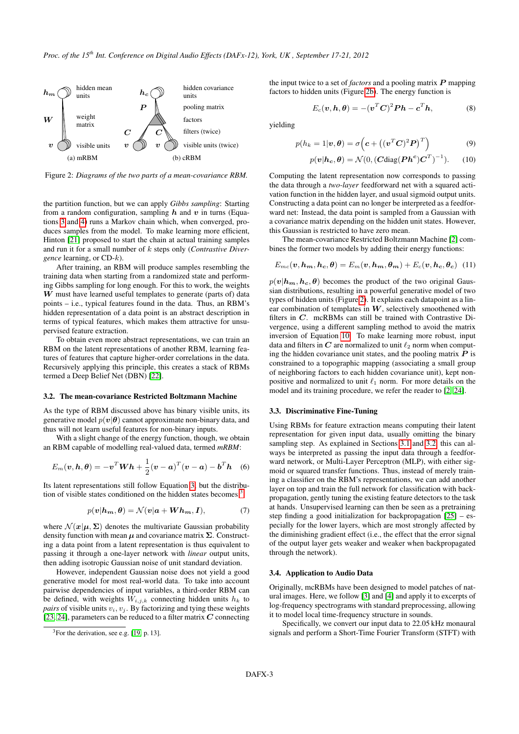<span id="page-2-2"></span>

<span id="page-2-1"></span>Figure 2: *Diagrams of the two parts of a mean-covariance RBM.*

the partition function, but we can apply *Gibbs sampling*: Starting from a random configuration, sampling  $h$  and  $v$  in turns (Equations [3](#page-1-6) and [4\)](#page-1-7) runs a Markov chain which, when converged, produces samples from the model. To make learning more efficient, Hinton [\[21\]](#page-7-20) proposed to start the chain at actual training samples and run it for a small number of k steps only (*Contrastive Divergence* learning, or CD-k).

After training, an RBM will produce samples resembling the training data when starting from a randomized state and performing Gibbs sampling for long enough. For this to work, the weights  $W$  must have learned useful templates to generate (parts of) data points – i.e., typical features found in the data. Thus, an RBM's hidden representation of a data point is an abstract description in terms of typical features, which makes them attractive for unsupervised feature extraction.

To obtain even more abstract representations, we can train an RBM on the latent representations of another RBM, learning features of features that capture higher-order correlations in the data. Recursively applying this principle, this creates a stack of RBMs termed a Deep Belief Net (DBN) [\[22\]](#page-7-21).

## <span id="page-2-4"></span>3.2. The mean-covariance Restricted Boltzmann Machine

As the type of RBM discussed above has binary visible units, its generative model  $p(\mathbf{v}|\boldsymbol{\theta})$  cannot approximate non-binary data, and thus will not learn useful features for non-binary inputs.

With a slight change of the energy function, though, we obtain an RBM capable of modelling real-valued data, termed *mRBM*:

$$
E_m(\boldsymbol{v}, \boldsymbol{h}, \boldsymbol{\theta}) = -\boldsymbol{v}^T \boldsymbol{W} \boldsymbol{h} + \frac{1}{2} (\boldsymbol{v} - \boldsymbol{a})^T (\boldsymbol{v} - \boldsymbol{a}) - \boldsymbol{b}^T \boldsymbol{h} \quad (6)
$$

Its latent representations still follow Equation [3,](#page-1-6) but the distribu-tion of visible states conditioned on the hidden states becomes:<sup>[3](#page-2-0)</sup>

$$
p(\mathbf{v}|\mathbf{h}_{\mathbf{m}}, \boldsymbol{\theta}) = \mathcal{N}(\mathbf{v}|\mathbf{a} + \mathbf{W}\mathbf{h}_{\mathbf{m}}, \mathbf{I}), \tag{7}
$$

where  $\mathcal{N}(\mathbf{x}|\boldsymbol{\mu}, \boldsymbol{\Sigma})$  denotes the multivariate Gaussian probability density function with mean  $\mu$  and covariance matrix  $\Sigma$ . Constructing a data point from a latent representation is thus equivalent to passing it through a one-layer network with *linear* output units, then adding isotropic Gaussian noise of unit standard deviation.

However, independent Gaussian noise does not yield a good generative model for most real-world data. To take into account pairwise dependencies of input variables, a third-order RBM can be defined, with weights  $W_{i,j,k}$  connecting hidden units  $h_k$  to *pairs* of visible units  $v_i$ ,  $v_j$ . By factorizing and tying these weights [\[23,](#page-7-22) [24\]](#page-7-23), parameters can be reduced to a filter matrix  $C$  connecting

the input twice to a set of *factors* and a pooling matrix  $P$  mapping factors to hidden units (Figure [2b\)](#page-2-1). The energy function is

$$
E_c(\mathbf{v}, \mathbf{h}, \boldsymbol{\theta}) = -(\mathbf{v}^T \mathbf{C})^2 \mathbf{P} \mathbf{h} - \mathbf{c}^T \mathbf{h},
$$
 (8)

yielding

$$
p(h_k = 1 | \boldsymbol{v}, \boldsymbol{\theta}) = \sigma \left( \boldsymbol{c} + \left( (\boldsymbol{v}^T \boldsymbol{C})^2 \boldsymbol{P} \right)^T \right) \tag{9}
$$

<span id="page-2-3"></span>
$$
p(\mathbf{v}|\mathbf{h}_{\mathbf{c}}, \boldsymbol{\theta}) = \mathcal{N}(0, (\mathbf{C}\text{diag}(\mathbf{P}\mathbf{h}^{\mathbf{c}})\mathbf{C}^T)^{-1}).
$$
 (10)

Computing the latent representation now corresponds to passing the data through a *two-layer* feedforward net with a squared activation function in the hidden layer, and usual sigmoid output units. Constructing a data point can no longer be interpreted as a feedforward net: Instead, the data point is sampled from a Gaussian with a covariance matrix depending on the hidden unit states. However, this Gaussian is restricted to have zero mean.

The mean-covariance Restricted Boltzmann Machine [\[2\]](#page-7-1) combines the former two models by adding their energy functions:

$$
E_{mc}(\boldsymbol{v}, \boldsymbol{h_m}, \boldsymbol{h_c}, \boldsymbol{\theta}) = E_m(\boldsymbol{v}, \boldsymbol{h_m}, \boldsymbol{\theta_m}) + E_c(\boldsymbol{v}, \boldsymbol{h_c}, \boldsymbol{\theta_c}) \tag{11}
$$

 $p(\mathbf{v}|\mathbf{h}_{m}, \mathbf{h}_{c}, \theta)$  becomes the product of the two original Gaussian distributions, resulting in a powerful generative model of two types of hidden units (Figure [2\)](#page-2-2). It explains each datapoint as a linear combination of templates in  $W$ , selectively smoothened with filters in C. mcRBMs can still be trained with Contrastive Divergence, using a different sampling method to avoid the matrix inversion of Equation [10.](#page-2-3) To make learning more robust, input data and filters in C are normalized to unit  $\ell_2$  norm when computing the hidden covariance unit states, and the pooling matrix  $P$  is constrained to a topographic mapping (associating a small group of neighboring factors to each hidden covariance unit), kept nonpositive and normalized to unit  $\ell_1$  norm. For more details on the model and its training procedure, we refer the reader to [\[2,](#page-7-1) [24\]](#page-7-23).

### 3.3. Discriminative Fine-Tuning

Using RBMs for feature extraction means computing their latent representation for given input data, usually omitting the binary sampling step. As explained in Sections [3.1](#page-1-8) and [3.2,](#page-2-4) this can always be interpreted as passing the input data through a feedforward network, or Multi-Layer Perceptron (MLP), with either sigmoid or squared transfer functions. Thus, instead of merely training a classifier on the RBM's representations, we can add another layer on top and train the full network for classification with backpropagation, gently tuning the existing feature detectors to the task at hands. Unsupervised learning can then be seen as a pretraining step finding a good initialization for backpropagation [\[25\]](#page-7-24) – especially for the lower layers, which are most strongly affected by the diminishing gradient effect (i.e., the effect that the error signal of the output layer gets weaker and weaker when backpropagated through the network).

#### <span id="page-2-5"></span>3.4. Application to Audio Data

Originally, mcRBMs have been designed to model patches of natural images. Here, we follow [\[3\]](#page-7-2) and [\[4\]](#page-7-3) and apply it to excerpts of log-frequency spectrograms with standard preprocessing, allowing it to model local time-frequency structure in sounds.

Specifically, we convert our input data to 22.05 kHz monaural signals and perform a Short-Time Fourier Transform (STFT) with

<span id="page-2-0"></span> $3$ For the derivation, see e.g. [\[19,](#page-7-18) p. 13].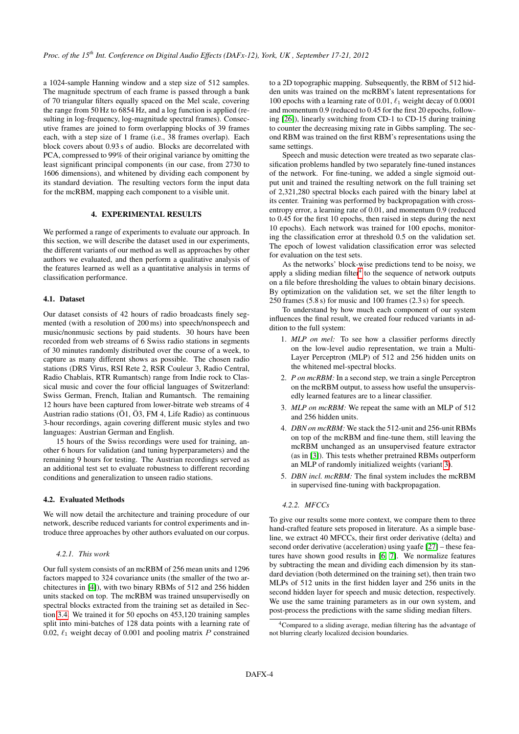a 1024-sample Hanning window and a step size of 512 samples. The magnitude spectrum of each frame is passed through a bank of 70 triangular filters equally spaced on the Mel scale, covering the range from 50 Hz to 6854 Hz, and a log function is applied (resulting in log-frequency, log-magnitude spectral frames). Consecutive frames are joined to form overlapping blocks of 39 frames each, with a step size of 1 frame (i.e., 38 frames overlap). Each block covers about 0.93 s of audio. Blocks are decorrelated with PCA, compressed to 99% of their original variance by omitting the least significant principal components (in our case, from 2730 to 1606 dimensions), and whitened by dividing each component by its standard deviation. The resulting vectors form the input data for the mcRBM, mapping each component to a visible unit.

## 4. EXPERIMENTAL RESULTS

<span id="page-3-0"></span>We performed a range of experiments to evaluate our approach. In this section, we will describe the dataset used in our experiments, the different variants of our method as well as approaches by other authors we evaluated, and then perform a qualitative analysis of the features learned as well as a quantitative analysis in terms of classification performance.

# 4.1. Dataset

Our dataset consists of 42 hours of radio broadcasts finely segmented (with a resolution of 200 ms) into speech/nonspeech and music/nonmusic sections by paid students. 30 hours have been recorded from web streams of 6 Swiss radio stations in segments of 30 minutes randomly distributed over the course of a week, to capture as many different shows as possible. The chosen radio stations (DRS Virus, RSI Rete 2, RSR Couleur 3, Radio Central, Radio Chablais, RTR Rumantsch) range from Indie rock to Classical music and cover the four official languages of Switzerland: Swiss German, French, Italian and Rumantsch. The remaining 12 hours have been captured from lower-bitrate web streams of 4 Austrian radio stations (Ö1, Ö3, FM 4, Life Radio) as continuous 3-hour recordings, again covering different music styles and two languages: Austrian German and English.

15 hours of the Swiss recordings were used for training, another 6 hours for validation (and tuning hyperparameters) and the remaining 9 hours for testing. The Austrian recordings served as an additional test set to evaluate robustness to different recording conditions and generalization to unseen radio stations.

## <span id="page-3-3"></span>4.2. Evaluated Methods

We will now detail the architecture and training procedure of our network, describe reduced variants for control experiments and introduce three approaches by other authors evaluated on our corpus.

## *4.2.1. This work*

Our full system consists of an mcRBM of 256 mean units and 1296 factors mapped to 324 covariance units (the smaller of the two architectures in [\[4\]](#page-7-3)), with two binary RBMs of 512 and 256 hidden units stacked on top. The mcRBM was trained unsupervisedly on spectral blocks extracted from the training set as detailed in Section [3.4.](#page-2-5) We trained it for 50 epochs on 453,120 training samples split into mini-batches of 128 data points with a learning rate of 0.02,  $\ell_1$  weight decay of 0.001 and pooling matrix P constrained to a 2D topographic mapping. Subsequently, the RBM of 512 hidden units was trained on the mcRBM's latent representations for 100 epochs with a learning rate of 0.01,  $\ell_1$  weight decay of 0.0001 and momentum 0.9 (reduced to 0.45 for the first 20 epochs, following [\[26\]](#page-7-25)), linearly switching from CD-1 to CD-15 during training to counter the decreasing mixing rate in Gibbs sampling. The second RBM was trained on the first RBM's representations using the same settings.

Speech and music detection were treated as two separate classification problems handled by two separately fine-tuned instances of the network. For fine-tuning, we added a single sigmoid output unit and trained the resulting network on the full training set of 2,321,280 spectral blocks each paired with the binary label at its center. Training was performed by backpropagation with crossentropy error, a learning rate of 0.01, and momentum 0.9 (reduced to 0.45 for the first 10 epochs, then raised in steps during the next 10 epochs). Each network was trained for 100 epochs, monitoring the classification error at threshold 0.5 on the validation set. The epoch of lowest validation classification error was selected for evaluation on the test sets.

As the networks' block-wise predictions tend to be noisy, we apply a sliding median filter<sup>[4](#page-3-1)</sup> to the sequence of network outputs on a file before thresholding the values to obtain binary decisions. By optimization on the validation set, we set the filter length to 250 frames (5.8 s) for music and 100 frames (2.3 s) for speech.

To understand by how much each component of our system influences the final result, we created four reduced variants in addition to the full system:

- 1. *MLP on mel:* To see how a classifier performs directly on the low-level audio representation, we train a Multi-Layer Perceptron (MLP) of 512 and 256 hidden units on the whitened mel-spectral blocks.
- 2. *P on mcRBM:* In a second step, we train a single Perceptron on the mcRBM output, to assess how useful the unsupervisedly learned features are to a linear classifier.
- <span id="page-3-2"></span>3. *MLP on mcRBM:* We repeat the same with an MLP of 512 and 256 hidden units.
- 4. *DBN on mcRBM:* We stack the 512-unit and 256-unit RBMs on top of the mcRBM and fine-tune them, still leaving the mcRBM unchanged as an unsupervised feature extractor (as in [\[3\]](#page-7-2)). This tests whether pretrained RBMs outperform an MLP of randomly initialized weights (variant [3\)](#page-3-2).
- 5. *DBN incl. mcRBM:* The final system includes the mcRBM in supervised fine-tuning with backpropagation.

#### *4.2.2. MFCCs*

To give our results some more context, we compare them to three hand-crafted feature sets proposed in literature. As a simple baseline, we extract 40 MFCCs, their first order derivative (delta) and second order derivative (acceleration) using yaafe [\[27\]](#page-7-26) – these features have shown good results in [\[6,](#page-7-5) [7\]](#page-7-6). We normalize features by subtracting the mean and dividing each dimension by its standard deviation (both determined on the training set), then train two MLPs of 512 units in the first hidden layer and 256 units in the second hidden layer for speech and music detection, respectively. We use the same training parameters as in our own system, and post-process the predictions with the same sliding median filters.

<span id="page-3-1"></span><sup>&</sup>lt;sup>4</sup>Compared to a sliding average, median filtering has the advantage of not blurring clearly localized decision boundaries.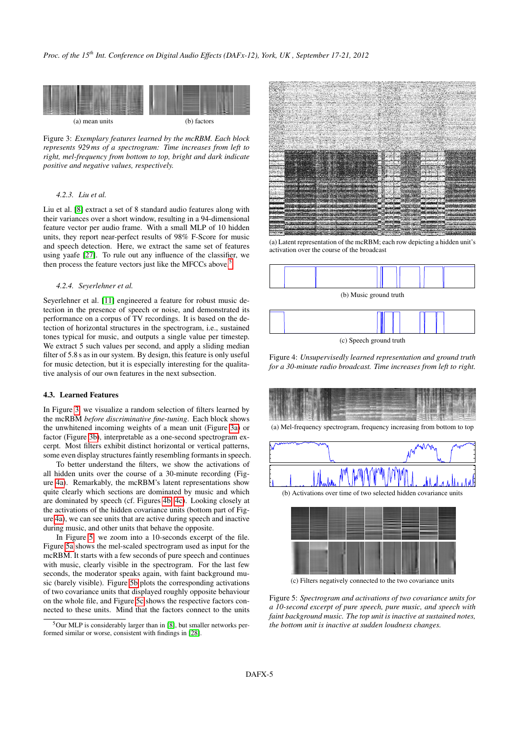<span id="page-4-2"></span><span id="page-4-1"></span>

<span id="page-4-3"></span>Figure 3: *Exemplary features learned by the mcRBM. Each block represents 929 ms of a spectrogram: Time increases from left to right, mel-frequency from bottom to top, bright and dark indicate positive and negative values, respectively.*

#### *4.2.3. Liu et al.*

Liu et al. [\[8\]](#page-7-7) extract a set of 8 standard audio features along with their variances over a short window, resulting in a 94-dimensional feature vector per audio frame. With a small MLP of 10 hidden units, they report near-perfect results of 98% F-Score for music and speech detection. Here, we extract the same set of features using yaafe [\[27\]](#page-7-26). To rule out any influence of the classifier, we then process the feature vectors just like the MFCCs above.<sup>[5](#page-4-0)</sup>

### *4.2.4. Seyerlehner et al.*

Seyerlehner et al. [\[11\]](#page-7-10) engineered a feature for robust music detection in the presence of speech or noise, and demonstrated its performance on a corpus of TV recordings. It is based on the detection of horizontal structures in the spectrogram, i.e., sustained tones typical for music, and outputs a single value per timestep. We extract 5 such values per second, and apply a sliding median filter of 5.8 s as in our system. By design, this feature is only useful for music detection, but it is especially interesting for the qualitative analysis of our own features in the next subsection.

## 4.3. Learned Features

In Figure [3,](#page-4-1) we visualize a random selection of filters learned by the mcRBM *before discriminative fine-tuning*. Each block shows the unwhitened incoming weights of a mean unit (Figure [3a\)](#page-4-2) or factor (Figure [3b\)](#page-4-3), interpretable as a one-second spectrogram excerpt. Most filters exhibit distinct horizontal or vertical patterns, some even display structures faintly resembling formants in speech.

To better understand the filters, we show the activations of all hidden units over the course of a 30-minute recording (Figure [4a\)](#page-4-4). Remarkably, the mcRBM's latent representations show quite clearly which sections are dominated by music and which are dominated by speech (cf. Figures [4b,](#page-4-5) [4c\)](#page-4-6). Looking closely at the activations of the hidden covariance units (bottom part of Figure [4a\)](#page-4-4), we can see units that are active during speech and inactive during music, and other units that behave the opposite.

In Figure [5,](#page-4-7) we zoom into a 10-seconds excerpt of the file. Figure [5a](#page-4-8) shows the mel-scaled spectrogram used as input for the mcRBM. It starts with a few seconds of pure speech and continues with music, clearly visible in the spectrogram. For the last few seconds, the moderator speaks again, with faint background music (barely visible). Figure [5b](#page-4-9) plots the corresponding activations of two covariance units that displayed roughly opposite behaviour on the whole file, and Figure [5c](#page-4-10) shows the respective factors connected to these units. Mind that the factors connect to the units

<span id="page-4-11"></span><span id="page-4-4"></span>

(a) Latent representation of the mcRBM; each row depicting a hidden unit's activation over the course of the broadcast

<span id="page-4-5"></span>

(c) Speech ground truth

<span id="page-4-6"></span>Figure 4: *Unsupervisedly learned representation and ground truth for a 30-minute radio broadcast. Time increases from left to right.*

<span id="page-4-8"></span><span id="page-4-7"></span>

(a) Mel-frequency spectrogram, frequency increasing from bottom to top

<span id="page-4-9"></span>

<span id="page-4-10"></span>(c) Filters negatively connected to the two covariance units

Figure 5: *Spectrogram and activations of two covariance units for a 10-second excerpt of pure speech, pure music, and speech with faint background music. The top unit is inactive at sustained notes, the bottom unit is inactive at sudden loudness changes.*

<span id="page-4-0"></span> $5$ Our MLP is considerably larger than in [\[8\]](#page-7-7), but smaller networks performed similar or worse, consistent with findings in [\[28\]](#page-7-27).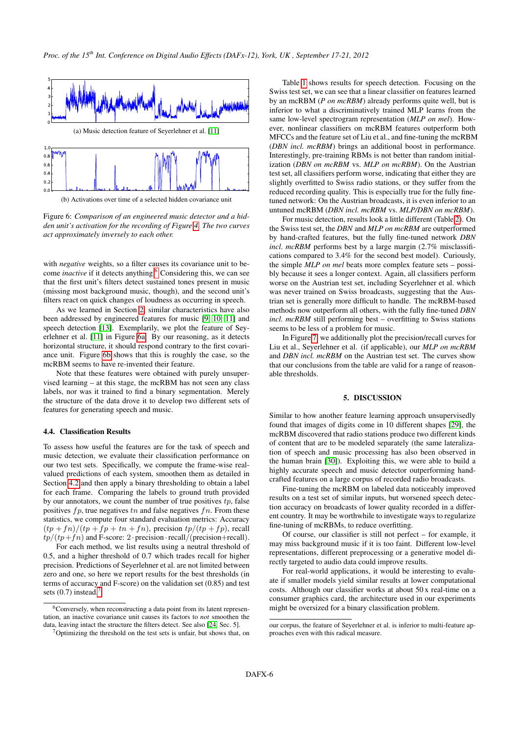<span id="page-5-2"></span>

<span id="page-5-3"></span>(b) Activations over time of a selected hidden covariance unit

Figure 6: *Comparison of an engineered music detector and a hidden unit's activation for the recording of Figure [4.](#page-4-11) The two curves act approximately inversely to each other.*

with *negative* weights, so a filter causes its covariance unit to become *inactive* if it detects anything.<sup>[6](#page-5-1)</sup> Considering this, we can see that the first unit's filters detect sustained tones present in music (missing most background music, though), and the second unit's filters react on quick changes of loudness as occurring in speech.

As we learned in Section [2,](#page-0-0) similar characteristics have also been addressed by engineered features for music [\[9,](#page-7-8) [10,](#page-7-9) [11\]](#page-7-10) and speech detection [\[13\]](#page-7-12). Exemplarily, we plot the feature of Seyerlehner et al. [\[11\]](#page-7-10) in Figure [6a.](#page-5-2) By our reasoning, as it detects horizontal structure, it should respond contrary to the first covariance unit. Figure [6b](#page-5-3) shows that this is roughly the case, so the mcRBM seems to have re-invented their feature.

Note that these features were obtained with purely unsupervised learning – at this stage, the mcRBM has not seen any class labels, nor was it trained to find a binary segmentation. Merely the structure of the data drove it to develop two different sets of features for generating speech and music.

#### 4.4. Classification Results

To assess how useful the features are for the task of speech and music detection, we evaluate their classification performance on our two test sets. Specifically, we compute the frame-wise realvalued predictions of each system, smoothen them as detailed in Section [4.2](#page-3-3) and then apply a binary thresholding to obtain a label for each frame. Comparing the labels to ground truth provided by our annotators, we count the number of true positives  $tp$ , false positives  $fp$ , true negatives  $tn$  and false negatives  $fn$ . From these statistics, we compute four standard evaluation metrics: Accuracy  $(tp +fn)/(tp +fp + tn +fn)$ , precision  $tp/(tp +fp)$ , recall  $tp/(tp+fn)$  and F-score: 2 · precision · recall/(precision+recall).

For each method, we list results using a neutral threshold of 0.5, and a higher threshold of 0.7 which trades recall for higher precision. Predictions of Seyerlehner et al. are not limited between zero and one, so here we report results for the best thresholds (in terms of accuracy and F-score) on the validation set (0.85) and test sets  $(0.7)$  $(0.7)$  $(0.7)$  instead.

Table [1](#page-6-0) shows results for speech detection. Focusing on the Swiss test set, we can see that a linear classifier on features learned by an mcRBM (*P on mcRBM*) already performs quite well, but is inferior to what a discriminatively trained MLP learns from the same low-level spectrogram representation (*MLP on mel*). However, nonlinear classifiers on mcRBM features outperform both MFCCs and the feature set of Liu et al., and fine-tuning the mcRBM (*DBN incl. mcRBM*) brings an additional boost in performance. Interestingly, pre-training RBMs is not better than random initialization (*DBN on mcRBM* vs. *MLP on mcRBM*). On the Austrian test set, all classifiers perform worse, indicating that either they are slightly overfitted to Swiss radio stations, or they suffer from the reduced recording quality. This is especially true for the fully finetuned network: On the Austrian broadcasts, it is even inferior to an untuned mcRBM (*DBN incl. mcRBM* vs. *MLP/DBN on mcRBM*).

For music detection, results look a little different (Table [2\)](#page-6-1). On the Swiss test set, the *DBN* and *MLP on mcRBM* are outperformed by hand-crafted features, but the fully fine-tuned network *DBN incl. mcRBM* performs best by a large margin (2.7% misclassifications compared to 3.4% for the second best model). Curiously, the simple *MLP on mel* beats more complex feature sets – possibly because it sees a longer context. Again, all classifiers perform worse on the Austrian test set, including Seyerlehner et al. which was never trained on Swiss broadcasts, suggesting that the Austrian set is generally more difficult to handle. The mcRBM-based methods now outperform all others, with the fully fine-tuned *DBN incl. mcRBM* still performing best – overfitting to Swiss stations seems to be less of a problem for music.

In Figure [7,](#page-6-2) we additionally plot the precision/recall curves for Liu et al., Seyerlehner et al. (if applicable), our *MLP on mcRBM* and *DBN incl. mcRBM* on the Austrian test set. The curves show that our conclusions from the table are valid for a range of reasonable thresholds.

## 5. DISCUSSION

<span id="page-5-0"></span>Similar to how another feature learning approach unsupervisedly found that images of digits come in 10 different shapes [\[29\]](#page-7-28), the mcRBM discovered that radio stations produce two different kinds of content that are to be modeled separately (the same lateralization of speech and music processing has also been observed in the human brain [\[30\]](#page-7-29)). Exploiting this, we were able to build a highly accurate speech and music detector outperforming handcrafted features on a large corpus of recorded radio broadcasts.

Fine-tuning the mcRBM on labeled data noticeably improved results on a test set of similar inputs, but worsened speech detection accuracy on broadcasts of lower quality recorded in a different country. It may be worthwhile to investigate ways to regularize fine-tuning of mcRBMs, to reduce overfitting.

Of course, our classifier is still not perfect – for example, it may miss background music if it is too faint. Different low-level representations, different preprocessing or a generative model directly targeted to audio data could improve results.

For real-world applications, it would be interesting to evaluate if smaller models yield similar results at lower computational costs. Although our classifier works at about 50 x real-time on a consumer graphics card, the architecture used in our experiments might be oversized for a binary classification problem.

<span id="page-5-1"></span><sup>&</sup>lt;sup>6</sup>Conversely, when reconstructing a data point from its latent representation, an inactive covariance unit causes its factors to *not* smoothen the data, leaving intact the structure the filters detect. See also [\[24,](#page-7-23) Sec. 5].

<span id="page-5-4"></span> $7$ Optimizing the threshold on the test sets is unfair, but shows that, on

our corpus, the feature of Seyerlehner et al. is inferior to multi-feature approaches even with this radical measure.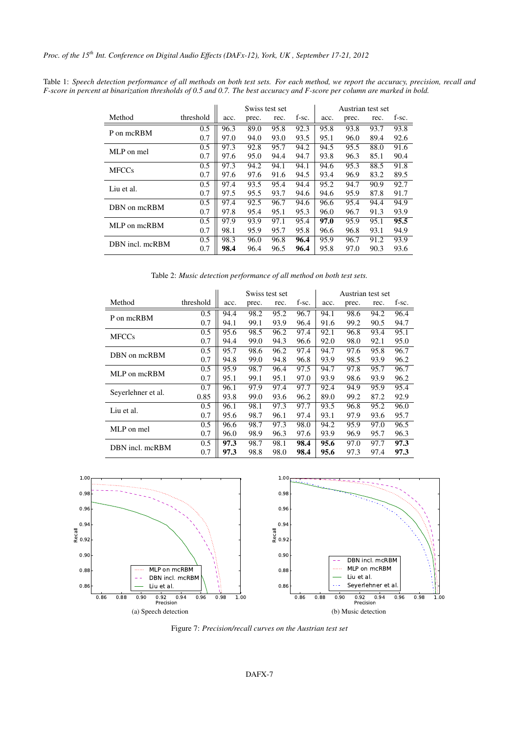|                 |           | Swiss test set |       |      |       | Austrian test set |       |      |       |
|-----------------|-----------|----------------|-------|------|-------|-------------------|-------|------|-------|
| Method          | threshold | acc.           | prec. | rec. | f-sc. | acc.              | prec. | rec. | f-sc. |
| P on mcRBM      | 0.5       | 96.3           | 89.0  | 95.8 | 92.3  | 95.8              | 93.8  | 93.7 | 93.8  |
|                 | 0.7       | 97.0           | 94.0  | 93.0 | 93.5  | 95.1              | 96.0  | 89.4 | 92.6  |
| MLP on mel      | 0.5       | 97.3           | 92.8  | 95.7 | 94.2  | 94.5              | 95.5  | 88.0 | 91.6  |
|                 | 0.7       | 97.6           | 95.0  | 94.4 | 94.7  | 93.8              | 96.3  | 85.1 | 90.4  |
| <b>MFCCs</b>    | 0.5       | 97.3           | 94.2  | 94.1 | 94.1  | 94.6              | 95.3  | 88.5 | 91.8  |
|                 | 0.7       | 97.6           | 97.6  | 91.6 | 94.5  | 93.4              | 96.9  | 83.2 | 89.5  |
| Liu et al.      | 0.5       | 97.4           | 93.5  | 95.4 | 94.4  | 95.2              | 94.7  | 90.9 | 92.7  |
|                 | 0.7       | 97.5           | 95.5  | 93.7 | 94.6  | 94.6              | 95.9  | 87.8 | 91.7  |
| DBN on mcRBM    | 0.5       | 97.4           | 92.5  | 96.7 | 94.6  | 96.6              | 95.4  | 94.4 | 94.9  |
|                 | 0.7       | 97.8           | 95.4  | 95.1 | 95.3  | 96.0              | 96.7  | 91.3 | 93.9  |
| MLP on mcRBM    | 0.5       | 97.9           | 93.9  | 97.1 | 95.4  | 97.0              | 95.9  | 95.1 | 95.5  |
|                 | 0.7       | 98.1           | 95.9  | 95.7 | 95.8  | 96.6              | 96.8  | 93.1 | 94.9  |
| DBN incl. mcRBM | 0.5       | 98.3           | 96.0  | 96.8 | 96.4  | 95.9              | 96.7  | 91.2 | 93.9  |
|                 | 0.7       | 98.4           | 96.4  | 96.5 | 96.4  | 95.8              | 97.0  | 90.3 | 93.6  |

<span id="page-6-0"></span>Table 1: *Speech detection performance of all methods on both test sets. For each method, we report the accuracy, precision, recall and F-score in percent at binarization thresholds of 0.5 and 0.7. The best accuracy and F-score per column are marked in bold.*

<span id="page-6-1"></span>Table 2: *Music detection performance of all method on both test sets.*

|                    |           | Swiss test set |       |      |       | Austrian test set |       |      |       |
|--------------------|-----------|----------------|-------|------|-------|-------------------|-------|------|-------|
| Method             | threshold | acc.           | prec. | rec. | f-sc. | acc.              | prec. | rec. | f-sc. |
| P on mcRBM         | 0.5       | 94.4           | 98.2  | 95.2 | 96.7  | 94.1              | 98.6  | 94.2 | 96.4  |
|                    | 0.7       | 94.1           | 99.1  | 93.9 | 96.4  | 91.6              | 99.2  | 90.5 | 94.7  |
| <b>MFCCs</b>       | 0.5       | 95.6           | 98.5  | 96.2 | 97.4  | 92.1              | 96.8  | 93.4 | 95.1  |
|                    | 0.7       | 94.4           | 99.0  | 94.3 | 96.6  | 92.0              | 98.0  | 92.1 | 95.0  |
| DBN on mcRBM       | 0.5       | 95.7           | 98.6  | 96.2 | 97.4  | 94.7              | 97.6  | 95.8 | 96.7  |
|                    | 0.7       | 94.8           | 99.0  | 94.8 | 96.8  | 93.9              | 98.5  | 93.9 | 96.2  |
| MLP on mcRBM       | 0.5       | 95.9           | 98.7  | 96.4 | 97.5  | 94.7              | 97.8  | 95.7 | 96.7  |
|                    | 0.7       | 95.1           | 99.1  | 95.1 | 97.0  | 93.9              | 98.6  | 93.9 | 96.2  |
| Seyerlehner et al. | 0.7       | 96.1           | 97.9  | 97.4 | 97.7  | 92.4              | 94.9  | 95.9 | 95.4  |
|                    | 0.85      | 93.8           | 99.0  | 93.6 | 96.2  | 89.0              | 99.2  | 87.2 | 92.9  |
| Liu et al.         | 0.5       | 96.1           | 98.1  | 97.3 | 97.7  | 93.5              | 96.8  | 95.2 | 96.0  |
|                    | 0.7       | 95.6           | 98.7  | 96.1 | 97.4  | 93.1              | 97.9  | 93.6 | 95.7  |
| MLP on mel         | 0.5       | 96.6           | 98.7  | 97.3 | 98.0  | 94.2              | 95.9  | 97.0 | 96.5  |
|                    | 0.7       | 96.0           | 98.9  | 96.3 | 97.6  | 93.9              | 96.9  | 95.7 | 96.3  |
| DBN incl. mcRBM    | 0.5       | 97.3           | 98.7  | 98.1 | 98.4  | 95.6              | 97.0  | 97.7 | 97.3  |
|                    | 0.7       | 97.3           | 98.8  | 98.0 | 98.4  | 95.6              | 97.3  | 97.4 | 97.3  |



<span id="page-6-2"></span>Figure 7: *Precision/recall curves on the Austrian test set*